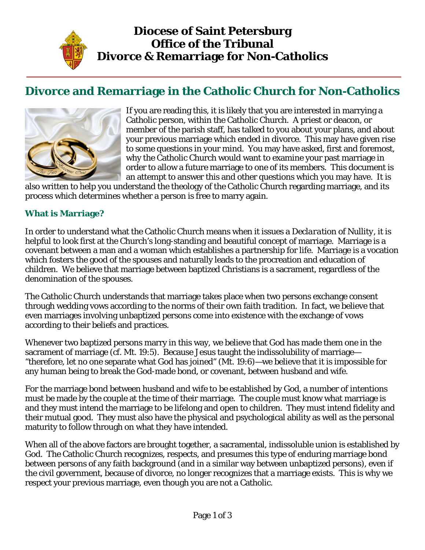

# **Divorce and Remarriage in the Catholic Church for Non-Catholics**



If you are reading this, it is likely that you are interested in marrying a Catholic person, within the Catholic Church. A priest or deacon, or member of the parish staff, has talked to you about your plans, and about your previous marriage which ended in divorce. This may have given rise to some questions in your mind. You may have asked, first and foremost, why the Catholic Church would want to examine your past marriage in order to allow a future marriage to one of its members. This document is an attempt to answer this and other questions which you may have. It is

also written to help you understand the theology of the Catholic Church regarding marriage, and its process which determines whether a person is free to marry again.

#### **What is Marriage?**

In order to understand what the Catholic Church means when it issues a *Declaration of Nullity*, it is helpful to look first at the Church's long-standing and beautiful concept of marriage. Marriage is a covenant between a man and a woman which establishes a partnership for life. Marriage is a vocation which fosters the good of the spouses and naturally leads to the procreation and education of children. We believe that marriage between baptized Christians is a sacrament, regardless of the denomination of the spouses.

The Catholic Church understands that marriage takes place when two persons exchange consent through wedding vows according to the norms of their own faith tradition. In fact, we believe that even marriages involving unbaptized persons come into existence with the exchange of vows according to their beliefs and practices.

Whenever two baptized persons marry in this way, we believe that God has made them one in the sacrament of marriage (cf. Mt. 19:5). Because Jesus taught the indissolubility of marriage— "therefore, let no one separate what God has joined" (Mt. 19:6)—we believe that it is impossible for any human being to break the God-made bond, or covenant, between husband and wife.

For the marriage bond between husband and wife to be established by God, a number of intentions must be made by the couple at the time of their marriage. The couple must know what marriage is and they must intend the marriage to be lifelong and open to children. They must intend fidelity and their mutual good. They must also have the physical and psychological ability as well as the personal maturity to follow through on what they have intended.

When all of the above factors are brought together, a sacramental, indissoluble union is established by God. The Catholic Church recognizes, respects, and presumes this type of enduring marriage bond between persons of any faith background (and in a similar way between unbaptized persons), even if the civil government, because of divorce, no longer recognizes that a marriage exists. This is why we respect your previous marriage, even though you are not a Catholic.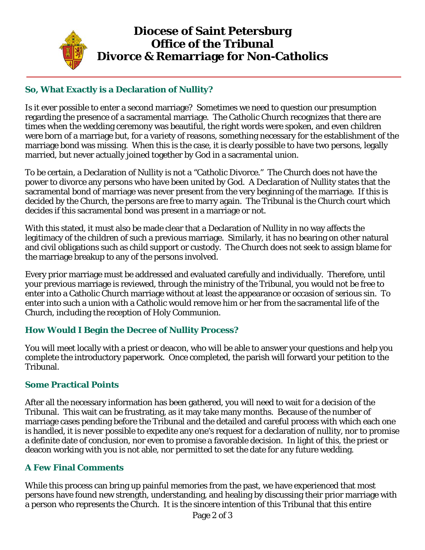

## **Diocese of Saint Petersburg Office of the Tribunal Divorce & Remarriage for Non-Catholics**

### **So, What Exactly is a Declaration of Nullity?**

Is it ever possible to enter a second marriage? Sometimes we need to question our presumption regarding the presence of a sacramental marriage. The Catholic Church recognizes that there are times when the wedding ceremony was beautiful, the right words were spoken, and even children were born of a marriage but, for a variety of reasons, something necessary for the establishment of the marriage bond was missing. When this is the case, it is clearly possible to have two persons, legally married, but never actually joined together by God in a sacramental union.

To be certain, a Declaration of Nullity is not a "Catholic Divorce." The Church does not have the power to divorce any persons who have been united by God. A Declaration of Nullity states that the sacramental bond of marriage was never present from the very beginning of the marriage. If this is decided by the Church, the persons are free to marry again. The Tribunal is the Church court which decides if this sacramental bond was present in a marriage or not.

With this stated, it must also be made clear that a Declaration of Nullity in no way affects the legitimacy of the children of such a previous marriage. Similarly, it has no bearing on other natural and civil obligations such as child support or custody. The Church does not seek to assign blame for the marriage breakup to any of the persons involved.

Every prior marriage must be addressed and evaluated carefully and individually. Therefore, until your previous marriage is reviewed, through the ministry of the Tribunal, you would not be free to enter into a Catholic Church marriage without at least the appearance or occasion of serious sin. To enter into such a union with a Catholic would remove him or her from the sacramental life of the Church, including the reception of Holy Communion.

#### **How Would I Begin the Decree of Nullity Process?**

You will meet locally with a priest or deacon, who will be able to answer your questions and help you complete the introductory paperwork. Once completed, the parish will forward your petition to the Tribunal.

#### **Some Practical Points**

After all the necessary information has been gathered, you will need to wait for a decision of the Tribunal. This wait can be frustrating, as it may take many months. Because of the number of marriage cases pending before the Tribunal and the detailed and careful process with which each one is handled, it is never possible to expedite any one's request for a declaration of nullity, nor to promise a definite date of conclusion, nor even to promise a favorable decision. In light of this, the priest or deacon working with you is not able, nor permitted to set the date for any future wedding.

#### **A Few Final Comments**

While this process can bring up painful memories from the past, we have experienced that most persons have found new strength, understanding, and healing by discussing their prior marriage with a person who represents the Church. It is the sincere intention of this Tribunal that this entire